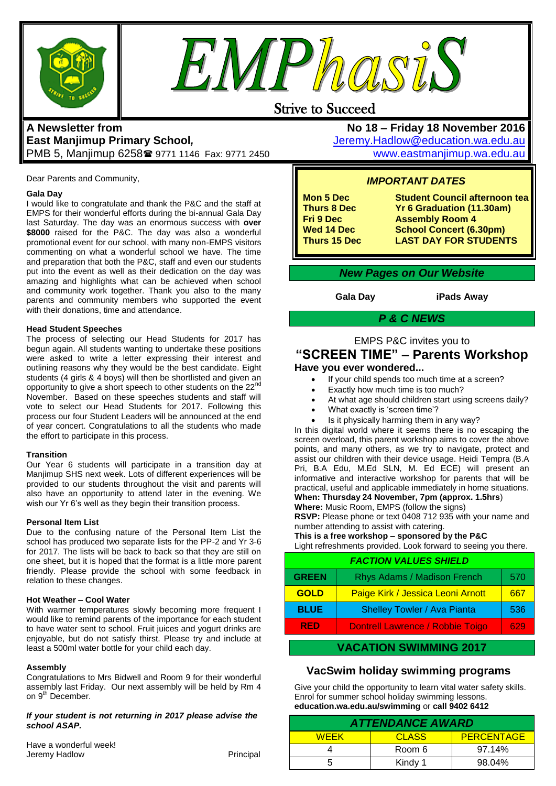



# Strive to Succeed

# **A Newsletter from East Manjimup Primary School***,*  PMB 5, Manjimup 6258 9771 1146 Fax: 9771 2450

Dear Parents and Community,

### **Gala Day**

I would like to congratulate and thank the P&C and the staff at EMPS for their wonderful efforts during the bi-annual Gala Day last Saturday. The day was an enormous success with **over \$8000** raised for the P&C. The day was also a wonderful promotional event for our school, with many non-EMPS visitors commenting on what a wonderful school we have. The time and preparation that both the P&C, staff and even our students put into the event as well as their dedication on the day was amazing and highlights what can be achieved when school and community work together. Thank you also to the many parents and community members who supported the event with their donations, time and attendance.

### **Head Student Speeches**

The process of selecting our Head Students for 2017 has begun again. All students wanting to undertake these positions were asked to write a letter expressing their interest and outlining reasons why they would be the best candidate. Eight students (4 girls & 4 boys) will then be shortlisted and given an opportunity to give a short speech to other students on the 22nd November. Based on these speeches students and staff will vote to select our Head Students for 2017. Following this process our four Student Leaders will be announced at the end of year concert. Congratulations to all the students who made the effort to participate in this process.

### **Transition**

Our Year 6 students will participate in a transition day at Manjimup SHS next week. Lots of different experiences will be provided to our students throughout the visit and parents will also have an opportunity to attend later in the evening. We wish our Yr 6's well as they begin their transition process.

### **Personal Item List**

Due to the confusing nature of the Personal Item List the school has produced two separate lists for the PP-2 and Yr 3-6 for 2017. The lists will be back to back so that they are still on one sheet, but it is hoped that the format is a little more parent friendly. Please provide the school with some feedback in relation to these changes.

### **Hot Weather – Cool Water**

With warmer temperatures slowly becoming more frequent I would like to remind parents of the importance for each student to have water sent to school. Fruit juices and yogurt drinks are enjoyable, but do not satisfy thirst. Please try and include at least a 500ml water bottle for your child each day.

### **Assembly**

Congratulations to Mrs Bidwell and Room 9 for their wonderful assembly last Friday. Our next assembly will be held by Rm 4 on 9<sup>th</sup> December.

### *If your student is not returning in 2017 please advise the school ASAP.*

| Have a wonderful week! |           |
|------------------------|-----------|
| Jeremy Hadlow          | Principal |

**No 18 – Friday 18 November 2016** [Jeremy.Hadlow@education.wa.edu.au](mailto:Jeremy.Hadlow@education.wa.edu.au) [www.eastmanjimup.wa.edu.au](http://www.eastmanjimup.wa.edu.au/)

## *IMPORTANT DATES*

**Mon 5 Dec Student Council afternoon tea Thurs 8 Dec Yr 6 Graduation (11.30am) Fri 9 Dec 68 Assembly Room 4<br>Wed 14 Dec 68 School Concert (6. Wed 14 Dec School Concert (6.30pm) LAST DAY FOR STUDENTS** 

## *New Pages on Our Website*

**Gala Day iPads Away**

## *P & C NEWS*

# EMPS P&C invites you to **"SCREEN TIME" – Parents Workshop**

### **Have you ever wondered...**

- If your child spends too much time at a screen?
- Exactly how much time is too much?
- At what age should children start using screens daily?
- What exactly is 'screen time'?
- Is it physically harming them in any way?

In this digital world where it seems there is no escaping the screen overload, this parent workshop aims to cover the above points, and many others, as we try to navigate, protect and assist our children with their device usage. Heidi Tempra (B.A Pri, B.A Edu, M.Ed SLN, M. Ed ECE) will present an informative and interactive workshop for parents that will be practical, useful and applicable immediately in home situations. **When: Thursday 24 November, 7pm (approx. 1.5hrs**)

### **Where:** Music Room, EMPS (follow the signs)

**RSVP:** Please phone or text 0408 712 935 with your name and number attending to assist with catering.

**This is a free workshop – sponsored by the P&C**

Light refreshments provided. Look forward to seeing you there.

| <b>FACTION VALUES SHIELD</b> |                                         |     |
|------------------------------|-----------------------------------------|-----|
| <b>GREEN</b>                 | Rhys Adams / Madison French             | 570 |
| <b>GOLD</b>                  | Paige Kirk / Jessica Leoni Arnott       | 667 |
| <b>BLUE</b>                  | <b>Shelley Towler / Ava Pianta</b>      | 536 |
| <b>RED</b>                   | <b>Dontrell Lawrence / Robbie Toigo</b> | 629 |

## **VACATION SWIMMING 2017**

## **VacSwim holiday swimming programs**

Give your child the opportunity to learn vital water safety skills. Enrol for summer school holiday swimming lessons. **education.wa.edu.au/swimming** or **call 9402 6412**

| <b>ATTENDANCE AWARD</b> |              |                   |  |
|-------------------------|--------------|-------------------|--|
| <b>WEEK</b>             | <b>CLASS</b> | <b>PERCENTAGE</b> |  |
|                         | Room 6       | 97.14%            |  |
|                         | Kindy 1      | 98.04%            |  |